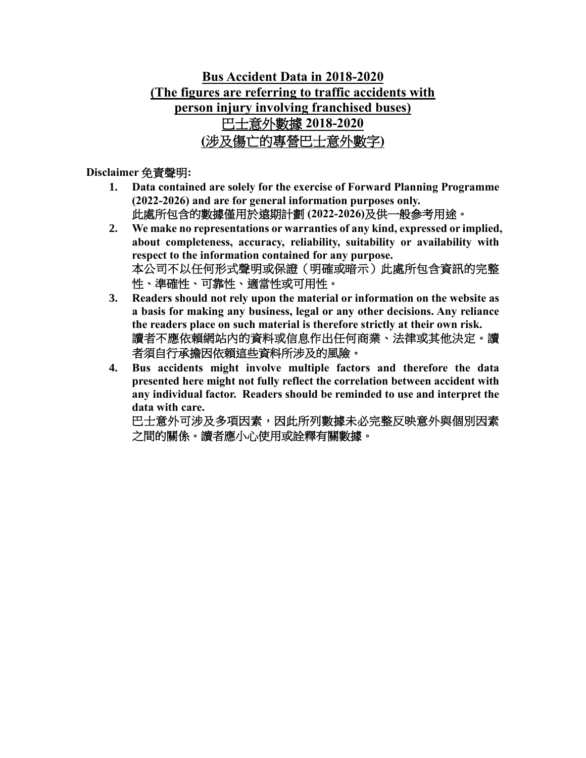### **Bus Accident Data in 2018-2020 (The figures are referring to traffic accidents with person injury involving franchised buses)** 巴士意外數據 **2018-2020 (**涉及傷亡的專營巴士意外數字**)**

#### **Disclaimer** 免責聲明**:**

- **1. Data contained are solely for the exercise of Forward Planning Programme (2022-2026) and are for general information purposes only.**  此處所包含的數據僅用於遠期計劃 **(2022-2026)**及供一般參考用途。
- **2. We make no representations or warranties of any kind, expressed or implied, about completeness, accuracy, reliability, suitability or availability with respect to the information contained for any purpose.** 本公司不以任何形式聲明或保證(明確或暗示)此處所包含資訊的完整 性、準確性、可靠性、適當性或可用性。
- **3. Readers should not rely upon the material or information on the website as a basis for making any business, legal or any other decisions. Any reliance the readers place on such material is therefore strictly at their own risk.** 讀者不應依賴網站內的資料或信息作出任何商業、法律或其他決定。讀 者須自行承擔因依賴這些資料所涉及的風險。
- **4. Bus accidents might involve multiple factors and therefore the data presented here might not fully reflect the correlation between accident with any individual factor. Readers should be reminded to use and interpret the data with care.**

巴士意外可涉及多項因素,因此所列數據未必完整反映意外與個別因素 之間的關係。讀者應小心使用或詮釋有關數據。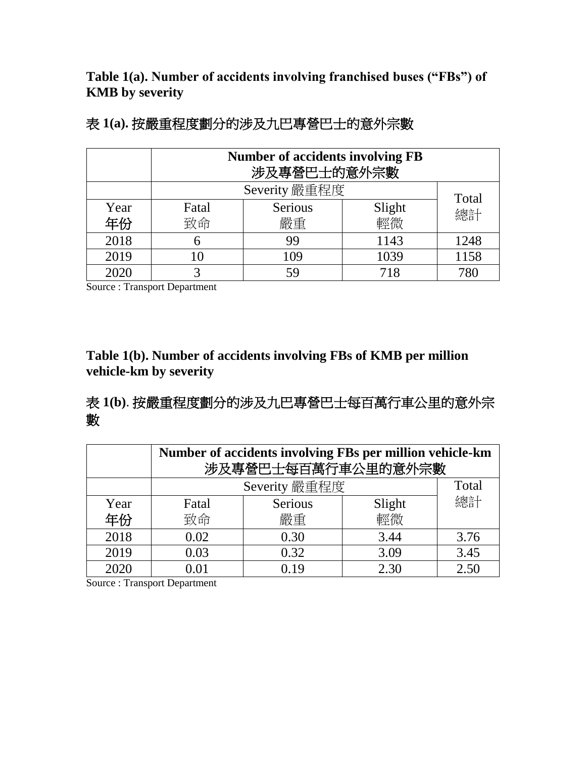**Table 1(a). Number of accidents involving franchised buses ("FBs") of KMB by severity**

|      | <b>Number of accidents involving FB</b><br>涉及專營巴士的意外宗數 |         |        |             |  |  |  |  |  |  |  |
|------|--------------------------------------------------------|---------|--------|-------------|--|--|--|--|--|--|--|
|      | Severity 嚴重程度                                          |         |        |             |  |  |  |  |  |  |  |
| Year | Fatal                                                  | Serious | Slight | Total<br>總計 |  |  |  |  |  |  |  |
| 年份   | 致命                                                     | 嚴重      | 輕微     |             |  |  |  |  |  |  |  |
| 2018 | 6                                                      | 99      | 1143   | 1248        |  |  |  |  |  |  |  |
| 2019 | 10                                                     | 109     | 1039   | 1158        |  |  |  |  |  |  |  |
| 2020 | 3                                                      | 59      | 718    | 780         |  |  |  |  |  |  |  |

Source : Transport Department

#### **Table 1(b). Number of accidents involving FBs of KMB per million vehicle-km by severity**

### 表 **1(b)**. 按嚴重程度劃分的涉及九巴專營巴士每百萬行車公里的意外宗 數

|      | Number of accidents involving FBs per million vehicle-km<br>涉及專營巴士每百萬行車公里的意外宗數 |         |        |      |  |  |  |  |  |  |  |
|------|--------------------------------------------------------------------------------|---------|--------|------|--|--|--|--|--|--|--|
|      | Severity 嚴重程度<br>Total                                                         |         |        |      |  |  |  |  |  |  |  |
| Year | Fatal                                                                          | Serious | Slight | 總計   |  |  |  |  |  |  |  |
| 年份   | 致命                                                                             | 嚴重      | 輕微     |      |  |  |  |  |  |  |  |
| 2018 | 0.02                                                                           | 0.30    | 3.44   | 3.76 |  |  |  |  |  |  |  |
| 2019 | 0.03                                                                           | 0.32    | 3.09   | 3.45 |  |  |  |  |  |  |  |
| 2020 |                                                                                | 0.19    | 2.30   | 2.50 |  |  |  |  |  |  |  |

Source : Transport Department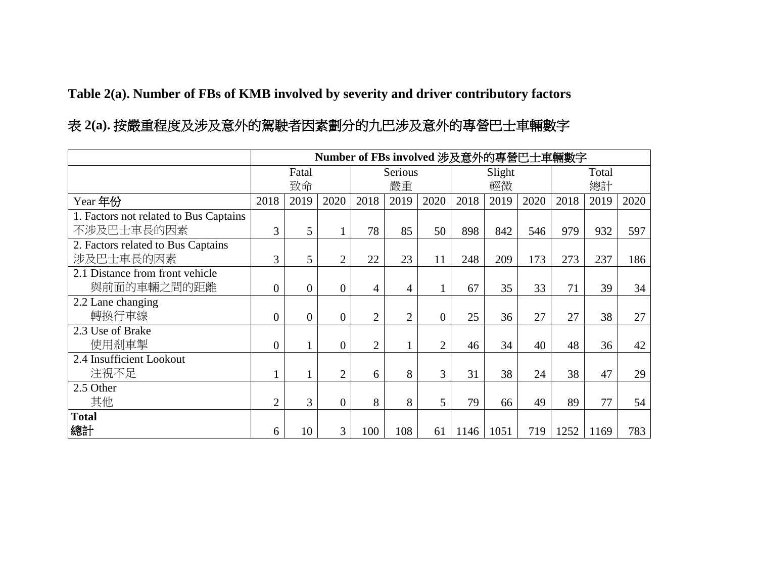**Table 2(a). Number of FBs of KMB involved by severity and driver contributory factors**

## 表 **2(a).** 按嚴重程度及涉及意外的駕駛者因素劃分的九巴涉及意外的專營巴士車輛數字

|                                        |                |                |                |                |                |                |      | Number of FBs involved 涉及意外的專營巴士車輛數字 |      |      |       |      |
|----------------------------------------|----------------|----------------|----------------|----------------|----------------|----------------|------|--------------------------------------|------|------|-------|------|
|                                        |                | Fatal          |                |                | Serious        |                |      | Slight                               |      |      | Total |      |
|                                        |                | 致命             |                |                | 嚴重             |                |      | 輕微                                   |      |      | 總計    |      |
| Year 年份                                | 2018           | 2019           | 2020           | 2018           | 2019           | 2020           | 2018 | 2019                                 | 2020 | 2018 | 2019  | 2020 |
| 1. Factors not related to Bus Captains |                |                |                |                |                |                |      |                                      |      |      |       |      |
| 不涉及巴士車長的因素                             | 3              | 5              |                | 78             | 85             | 50             | 898  | 842                                  | 546  | 979  | 932   | 597  |
| 2. Factors related to Bus Captains     |                |                |                |                |                |                |      |                                      |      |      |       |      |
| 涉及巴士車長的因素                              | 3              | 5 <sup>5</sup> | $\overline{2}$ | 22             | 23             | 11             | 248  | 209                                  | 173  | 273  | 237   | 186  |
| 2.1 Distance from front vehicle        |                |                |                |                |                |                |      |                                      |      |      |       |      |
| 與前面的車輛之間的距離                            | $\overline{0}$ | $\overline{0}$ | $\overline{0}$ | 4              | 4              |                | 67   | 35                                   | 33   | 71   | 39    | 34   |
| 2.2 Lane changing                      |                |                |                |                |                |                |      |                                      |      |      |       |      |
| 轉換行車線                                  | $\overline{0}$ | $\overline{0}$ | $\overline{0}$ | $\overline{2}$ | $\overline{2}$ | $\overline{0}$ | 25   | 36                                   | 27   | 27   | 38    | 27   |
| 2.3 Use of Brake                       |                |                |                |                |                |                |      |                                      |      |      |       |      |
| 使用剎車掣                                  | $\overline{0}$ |                | $\theta$       | $\overline{2}$ |                | $\overline{2}$ | 46   | 34                                   | 40   | 48   | 36    | 42   |
| 2.4 Insufficient Lookout               |                |                |                |                |                |                |      |                                      |      |      |       |      |
| 注視不足                                   |                |                | $\overline{2}$ | 6              | 8              | 3              | 31   | 38                                   | 24   | 38   | 47    | 29   |
| 2.5 Other                              |                |                |                |                |                |                |      |                                      |      |      |       |      |
| 其他                                     | $\overline{2}$ | 3              | $\overline{0}$ | 8              | 8              | 5              | 79   | 66                                   | 49   | 89   | 77    | 54   |
| <b>Total</b>                           |                |                |                |                |                |                |      |                                      |      |      |       |      |
| 總計                                     | 6              | 10             | 3              | 100            | 108            | 61             | 1146 | 1051                                 | 719  | 1252 | 1169  | 783  |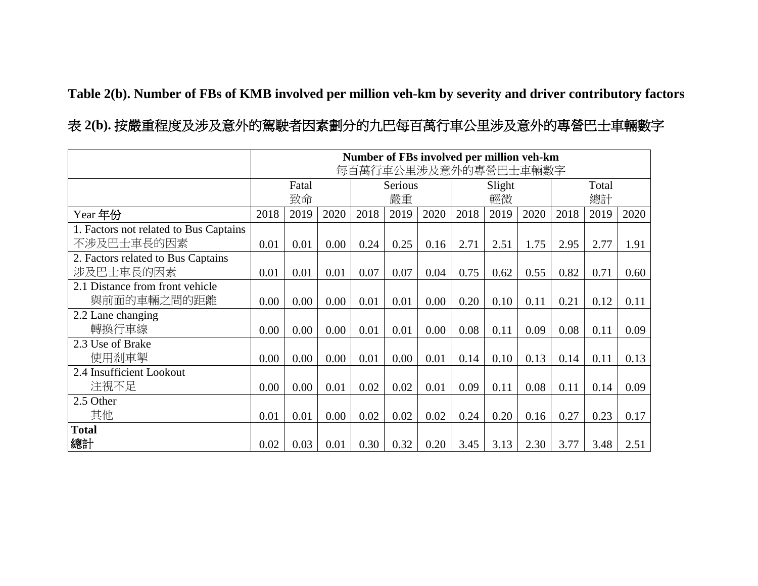**Table 2(b). Number of FBs of KMB involved per million veh-km by severity and driver contributory factors**

表 **2(b).** 按嚴重程度及涉及意外的駕駛者因素劃分的九巴每百萬行車公里涉及意外的專營巴士車輛數字

|                                                      |      |             |      |      |               |      |      |              | Number of FBs involved per million veh-km<br>每百萬行車公里涉及意外的專營巴士車輛數字 |      |             |      |
|------------------------------------------------------|------|-------------|------|------|---------------|------|------|--------------|-------------------------------------------------------------------|------|-------------|------|
|                                                      |      | Fatal<br>致命 |      |      | Serious<br>嚴重 |      |      | Slight<br>輕微 |                                                                   |      | Total<br>總計 |      |
| Year 年份                                              | 2018 | 2019        | 2020 | 2018 | 2019          | 2020 | 2018 | 2019         | 2020                                                              | 2018 | 2019        | 2020 |
| 1. Factors not related to Bus Captains<br>不涉及巴士車長的因素 | 0.01 | 0.01        | 0.00 | 0.24 | 0.25          | 0.16 | 2.71 | 2.51         | 1.75                                                              | 2.95 | 2.77        | 1.91 |
| 2. Factors related to Bus Captains<br>涉及巴士車長的因素      | 0.01 | 0.01        | 0.01 | 0.07 | 0.07          | 0.04 | 0.75 | 0.62         | 0.55                                                              | 0.82 | 0.71        | 0.60 |
| 2.1 Distance from front vehicle<br>與前面的車輛之間的距離       | 0.00 | 0.00        | 0.00 | 0.01 | 0.01          | 0.00 | 0.20 | 0.10         | 0.11                                                              | 0.21 | 0.12        | 0.11 |
| 2.2 Lane changing<br>轉換行車線                           | 0.00 | 0.00        | 0.00 | 0.01 | 0.01          | 0.00 | 0.08 | 0.11         | 0.09                                                              | 0.08 | 0.11        | 0.09 |
| 2.3 Use of Brake<br>使用剎車掣                            | 0.00 | 0.00        | 0.00 | 0.01 | 0.00          | 0.01 | 0.14 | 0.10         | 0.13                                                              | 0.14 | 0.11        | 0.13 |
| 2.4 Insufficient Lookout<br>注視不足                     | 0.00 | 0.00        | 0.01 | 0.02 | 0.02          | 0.01 | 0.09 | 0.11         | 0.08                                                              | 0.11 | 0.14        | 0.09 |
| 2.5 Other<br>其他                                      | 0.01 | 0.01        | 0.00 | 0.02 | 0.02          | 0.02 | 0.24 | 0.20         | 0.16                                                              | 0.27 | 0.23        | 0.17 |
| <b>Total</b><br>總計                                   | 0.02 | 0.03        | 0.01 | 0.30 | 0.32          | 0.20 | 3.45 | 3.13         | 2.30                                                              | 3.77 | 3.48        | 2.51 |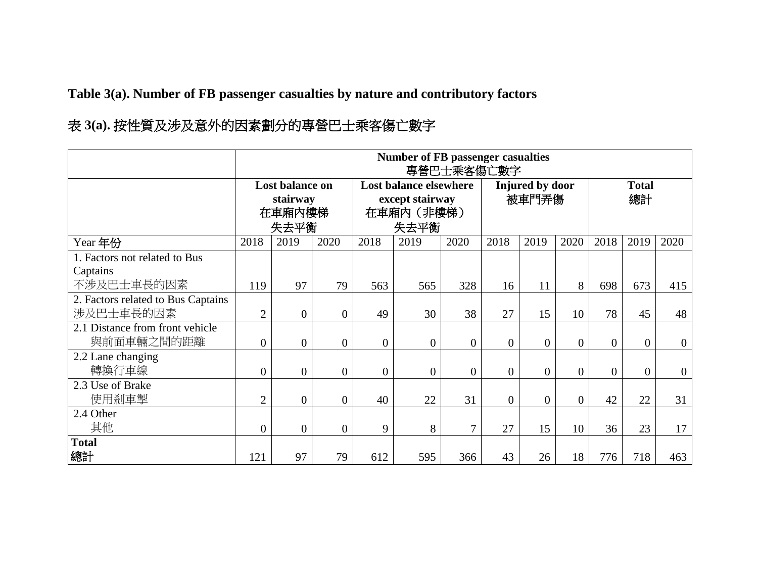**Table 3(a). Number of FB passenger casualties by nature and contributory factors**

|                                                         |                |                                               |                  |                | <b>Number of FB passenger casualties</b>                               | 專營巴士乘客傷亡數字     |                |                          |                |                    |                |                  |
|---------------------------------------------------------|----------------|-----------------------------------------------|------------------|----------------|------------------------------------------------------------------------|----------------|----------------|--------------------------|----------------|--------------------|----------------|------------------|
|                                                         |                | Lost balance on<br>stairway<br>在車廂內樓梯<br>失去平衡 |                  |                | <b>Lost balance elsewhere</b><br>except stairway<br>在車廂內 (非樓梯)<br>失去平衡 |                |                | Injured by door<br>被車門弄傷 |                | <b>Total</b><br>總計 |                |                  |
| Year 年份                                                 | 2018           | 2019                                          | 2020             | 2018           | 2019                                                                   | 2020           | 2018           | 2019                     | 2020           | 2018               | 2019           | 2020             |
| 1. Factors not related to Bus<br>Captains<br>不涉及巴士車長的因素 | 119            | 97                                            | 79               | 563            | 565                                                                    | 328            | 16             | 11                       | 8              | 698                | 673            | 415              |
| 2. Factors related to Bus Captains<br>涉及巴士車長的因素         | $\overline{2}$ | $\overline{0}$                                | $\overline{0}$   | 49             | 30                                                                     | 38             | 27             | 15                       | 10             | 78                 | 45             | 48               |
| 2.1 Distance from front vehicle<br>與前面車輛之間的距離           | $\overline{0}$ | $\overline{0}$                                | $\boldsymbol{0}$ | $\overline{0}$ | $\boldsymbol{0}$                                                       | $\overline{0}$ | $\theta$       | $\theta$                 | $\Omega$       | $\theta$           | $\overline{0}$ | $\overline{0}$   |
| 2.2 Lane changing<br>轉換行車線                              | $\overline{0}$ | $\overline{0}$                                | $\overline{0}$   | $\overline{0}$ | $\overline{0}$                                                         | $\overline{0}$ | $\overline{0}$ | $\theta$                 | $\Omega$       | $\Omega$           | $\theta$       | $\boldsymbol{0}$ |
| 2.3 Use of Brake<br>使用剎車掣                               | 2              | $\overline{0}$                                | $\overline{0}$   | 40             | 22                                                                     | 31             | $\mathbf{0}$   | $\overline{0}$           | $\overline{0}$ | 42                 | 22             | 31               |
| 2.4 Other<br>其他                                         | $\overline{0}$ | $\overline{0}$                                | $\overline{0}$   | 9              | 8                                                                      | $\overline{7}$ | 27             | 15                       | 10             | 36                 | 23             | 17               |
| <b>Total</b><br> 總計                                     | 121            | 97                                            | 79               | 612            | 595                                                                    | 366            | 43             | 26                       | 18             | 776                | 718            | 463              |

# 表 **3(a).** 按性質及涉及意外的因素劃分的專營巴士乘客傷亡數字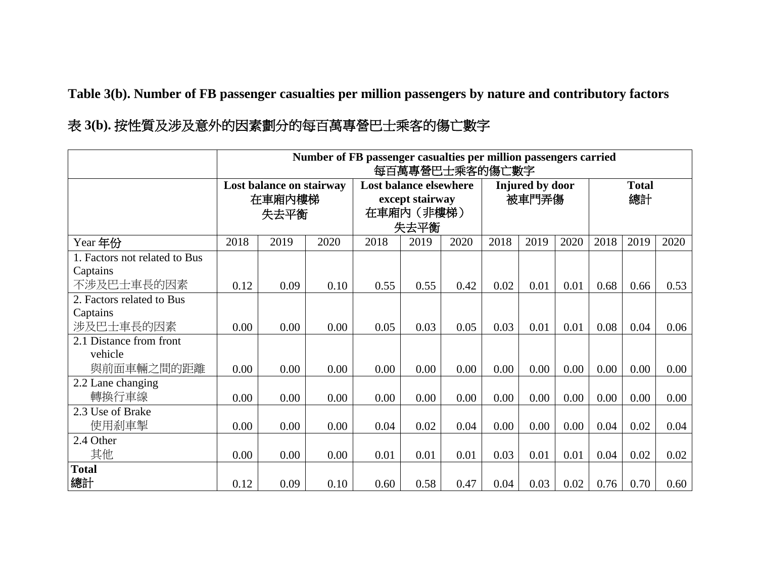**Table 3(b). Number of FB passenger casualties per million passengers by nature and contributory factors**

| 表 3(b). 按性質及涉及意外的因素劃分的每百萬專營巴士乘客的傷亡數字 |  |  |  |  |  |
|--------------------------------------|--|--|--|--|--|
|--------------------------------------|--|--|--|--|--|

|                               |      | Number of FB passenger casualties per million passengers carried<br>每百萬專營巴士乘客的傷亡數字 |      |                               |                 |      |      |                 |      |      |              |      |  |
|-------------------------------|------|------------------------------------------------------------------------------------|------|-------------------------------|-----------------|------|------|-----------------|------|------|--------------|------|--|
|                               |      |                                                                                    |      |                               |                 |      |      |                 |      |      |              |      |  |
|                               |      | Lost balance on stairway                                                           |      | <b>Lost balance elsewhere</b> |                 |      |      | Injured by door |      |      | <b>Total</b> |      |  |
|                               |      | 在車廂內樓梯                                                                             |      |                               | except stairway |      |      | 被車門弄傷           |      | 總計   |              |      |  |
|                               |      | 失去平衡                                                                               |      |                               | 在車廂內 (非樓梯)      |      |      |                 |      |      |              |      |  |
|                               |      |                                                                                    |      |                               | 失去平衡            |      |      |                 |      |      |              |      |  |
| Year 年份                       | 2018 | 2019                                                                               | 2020 | 2018                          | 2019            | 2020 | 2018 | 2019            | 2020 | 2018 | 2019         | 2020 |  |
| 1. Factors not related to Bus |      |                                                                                    |      |                               |                 |      |      |                 |      |      |              |      |  |
| Captains                      |      |                                                                                    |      |                               |                 |      |      |                 |      |      |              |      |  |
| 不涉及巴士車長的因素                    | 0.12 | 0.09                                                                               | 0.10 | 0.55                          | 0.55            | 0.42 | 0.02 | 0.01            | 0.01 | 0.68 | 0.66         | 0.53 |  |
| 2. Factors related to Bus     |      |                                                                                    |      |                               |                 |      |      |                 |      |      |              |      |  |
| Captains                      |      |                                                                                    |      |                               |                 |      |      |                 |      |      |              |      |  |
| 涉及巴士車長的因素                     | 0.00 | 0.00                                                                               | 0.00 | 0.05                          | 0.03            | 0.05 | 0.03 | 0.01            | 0.01 | 0.08 | 0.04         | 0.06 |  |
| 2.1 Distance from front       |      |                                                                                    |      |                               |                 |      |      |                 |      |      |              |      |  |
| vehicle                       |      |                                                                                    |      |                               |                 |      |      |                 |      |      |              |      |  |
| 與前面車輛之間的距離                    | 0.00 | 0.00                                                                               | 0.00 | 0.00                          | 0.00            | 0.00 | 0.00 | 0.00            | 0.00 | 0.00 | 0.00         | 0.00 |  |
| 2.2 Lane changing             |      |                                                                                    |      |                               |                 |      |      |                 |      |      |              |      |  |
| 轉換行車線                         | 0.00 | 0.00                                                                               | 0.00 | 0.00                          | 0.00            | 0.00 | 0.00 | 0.00            | 0.00 | 0.00 | 0.00         | 0.00 |  |
| 2.3 Use of Brake              |      |                                                                                    |      |                               |                 |      |      |                 |      |      |              |      |  |
| 使用剎車掣                         | 0.00 | 0.00                                                                               | 0.00 | 0.04                          | 0.02            | 0.04 | 0.00 | 0.00            | 0.00 | 0.04 | 0.02         | 0.04 |  |
| 2.4 Other                     |      |                                                                                    |      |                               |                 |      |      |                 |      |      |              |      |  |
| 其他                            | 0.00 | 0.00                                                                               | 0.00 | 0.01                          | 0.01            | 0.01 | 0.03 | 0.01            | 0.01 | 0.04 | 0.02         | 0.02 |  |
| <b>Total</b>                  |      |                                                                                    |      |                               |                 |      |      |                 |      |      |              |      |  |
| 總計                            | 0.12 | 0.09                                                                               | 0.10 | 0.60                          | 0.58            | 0.47 | 0.04 | 0.03            | 0.02 | 0.76 | 0.70         | 0.60 |  |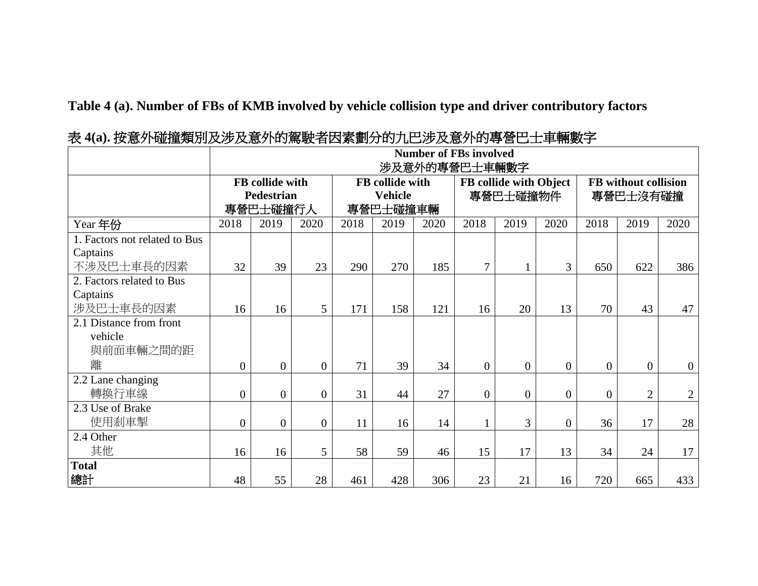**Table 4 (a). Number of FBs of KMB involved by vehicle collision type and driver contributory factors**

|                                                         |                |                                           |                |      |                                               |      | <b>Number of FBs involved</b><br>涉及意外的專營巴士車輛數字 |                                    |                |              |                                  |                |
|---------------------------------------------------------|----------------|-------------------------------------------|----------------|------|-----------------------------------------------|------|------------------------------------------------|------------------------------------|----------------|--------------|----------------------------------|----------------|
|                                                         |                | FB collide with<br>Pedestrian<br>專營巴士碰撞行人 |                |      | FB collide with<br><b>Vehicle</b><br>專營巴士碰撞車輛 |      |                                                | FB collide with Object<br>專營巴士碰撞物件 |                |              | FB without collision<br>專營巴士沒有碰撞 |                |
| Year 年份                                                 | 2018           | 2019                                      | 2020           | 2018 | 2019                                          | 2020 | 2018                                           | 2019                               | 2020           | 2018         | 2019                             | 2020           |
| 1. Factors not related to Bus<br>Captains<br>不涉及巴士車長的因素 | 32             | 39                                        | 23             | 290  | 270                                           | 185  | $\overline{7}$                                 | 1                                  | 3              | 650          | 622                              | 386            |
| 2. Factors related to Bus                               |                |                                           |                |      |                                               |      |                                                |                                    |                |              |                                  |                |
| Captains<br>涉及巴士車長的因素                                   | 16             | 16                                        | 5              | 171  | 158                                           | 121  | 16                                             | 20                                 | 13             | 70           | 43                               | 47             |
| 2.1 Distance from front<br>vehicle<br>與前面車輛之間的距         |                |                                           |                |      |                                               |      |                                                |                                    |                |              |                                  |                |
| 離                                                       | $\overline{0}$ | $\overline{0}$                            | $\overline{0}$ | 71   | 39                                            | 34   | $\overline{0}$                                 | $\overline{0}$                     | $\overline{0}$ | $\mathbf{0}$ | $\overline{0}$                   | $\overline{0}$ |
| 2.2 Lane changing<br>轉換行車線                              | $\overline{0}$ | $\overline{0}$                            | $\overline{0}$ | 31   | 44                                            | 27   | $\overline{0}$                                 | $\boldsymbol{0}$                   | $\overline{0}$ | $\mathbf{0}$ | $\overline{2}$                   | $\overline{2}$ |
| 2.3 Use of Brake<br>使用剎車掣                               | $\overline{0}$ | $\overline{0}$                            | $\overline{0}$ | 11   | 16                                            | 14   |                                                | 3                                  | $\overline{0}$ | 36           | 17                               | 28             |
| 2.4 Other                                               |                |                                           |                |      |                                               |      |                                                |                                    |                |              |                                  |                |
| 其他                                                      | 16             | 16                                        | 5              | 58   | 59                                            | 46   | 15                                             | 17                                 | 13             | 34           | 24                               | 17             |
| <b>Total</b><br>總計                                      | 48             | 55                                        | 28             | 461  | 428                                           | 306  | 23                                             | 21                                 | 16             | 720          | 665                              | 433            |

表 **4(a).** 按意外碰撞類別及涉及意外的駕駛者因素劃分的九巴涉及意外的專營巴士車輛數字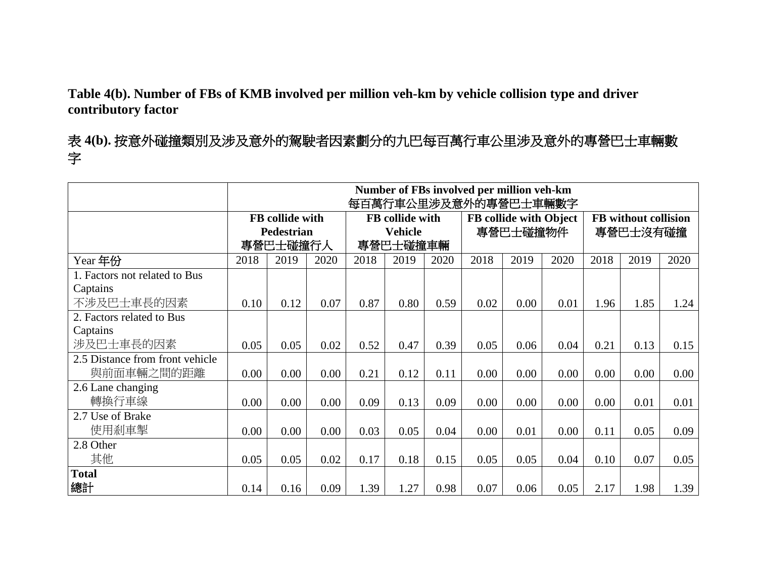**Table 4(b). Number of FBs of KMB involved per million veh-km by vehicle collision type and driver contributory factor**

表 **4(b).** 按意外碰撞類別及涉及意外的駕駛者因素劃分的九巴每百萬行車公里涉及意外的專營巴士車輛數 字

|                                 |      |                        |      |      |                        |      | Number of FBs involved per million veh-km<br>每百萬行車公里涉及意外的專營巴士車輛數字 |                        |      |          |                      |      |
|---------------------------------|------|------------------------|------|------|------------------------|------|-------------------------------------------------------------------|------------------------|------|----------|----------------------|------|
|                                 |      | <b>FB</b> collide with |      |      | <b>FB</b> collide with |      |                                                                   | FB collide with Object |      |          | FB without collision |      |
|                                 |      | <b>Pedestrian</b>      |      |      | <b>Vehicle</b>         |      | 專營巴士碰撞物件                                                          |                        |      | 專營巴士沒有碰撞 |                      |      |
|                                 |      | 專營巴士碰撞行人               |      |      | 專營巴士碰撞車輛               |      |                                                                   |                        |      |          |                      |      |
| Year 年份                         | 2018 | 2019                   | 2020 | 2018 | 2019                   | 2020 | 2018                                                              | 2019                   | 2020 | 2018     | 2019                 | 2020 |
| 1. Factors not related to Bus   |      |                        |      |      |                        |      |                                                                   |                        |      |          |                      |      |
| Captains                        |      |                        |      |      |                        |      |                                                                   |                        |      |          |                      |      |
| 不涉及巴士車長的因素                      | 0.10 | 0.12                   | 0.07 | 0.87 | 0.80                   | 0.59 | 0.02                                                              | 0.00                   | 0.01 | 1.96     | 1.85                 | 1.24 |
| 2. Factors related to Bus       |      |                        |      |      |                        |      |                                                                   |                        |      |          |                      |      |
| Captains                        |      |                        |      |      |                        |      |                                                                   |                        |      |          |                      |      |
| 涉及巴士車長的因素                       | 0.05 | 0.05                   | 0.02 | 0.52 | 0.47                   | 0.39 | 0.05                                                              | 0.06                   | 0.04 | 0.21     | 0.13                 | 0.15 |
| 2.5 Distance from front vehicle |      |                        |      |      |                        |      |                                                                   |                        |      |          |                      |      |
| 與前面車輛之間的距離                      | 0.00 | 0.00                   | 0.00 | 0.21 | 0.12                   | 0.11 | 0.00                                                              | 0.00                   | 0.00 | 0.00     | 0.00                 | 0.00 |
| 2.6 Lane changing               |      |                        |      |      |                        |      |                                                                   |                        |      |          |                      |      |
| 轉換行車線                           | 0.00 | 0.00                   | 0.00 | 0.09 | 0.13                   | 0.09 | 0.00                                                              | 0.00                   | 0.00 | 0.00     | 0.01                 | 0.01 |
| 2.7 Use of Brake                |      |                        |      |      |                        |      |                                                                   |                        |      |          |                      |      |
| 使用剎車掣                           | 0.00 | 0.00                   | 0.00 | 0.03 | 0.05                   | 0.04 | 0.00                                                              | 0.01                   | 0.00 | 0.11     | 0.05                 | 0.09 |
| 2.8 Other                       |      |                        |      |      |                        |      |                                                                   |                        |      |          |                      |      |
| 其他                              | 0.05 | 0.05                   | 0.02 | 0.17 | 0.18                   | 0.15 | 0.05                                                              | 0.05                   | 0.04 | 0.10     | 0.07                 | 0.05 |
| <b>Total</b>                    |      |                        |      |      |                        |      |                                                                   |                        |      |          |                      |      |
| 總計                              | 0.14 | 0.16                   | 0.09 | 1.39 | 1.27                   | 0.98 | 0.07                                                              | 0.06                   | 0.05 | 2.17     | 1.98                 | 1.39 |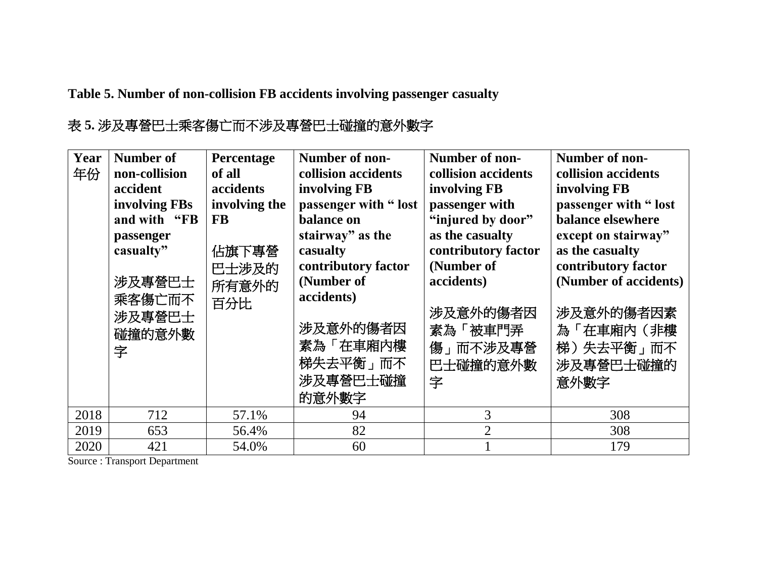**Table 5. Number of non-collision FB accidents involving passenger casualty**

### 表 **5.** 涉及專營巴士乘客傷亡而不涉及專營巴士碰撞的意外數字

| Year<br>年份 | <b>Number of</b><br>non-collision<br>accident<br>involving FBs<br>and with "FB<br>passenger<br>casualty"<br>涉及專營巴士<br>乘客傷亡而不<br>涉及專營巴士<br>碰撞的意外數<br>字 | Percentage<br>of all<br>accidents<br>involving the<br><b>FB</b><br>佔旗下專營<br>巴士涉及的<br>所有意外的<br>百分比 | Number of non-<br>collision accidents<br>involving FB<br>passenger with "lost<br>balance on<br>stairway" as the<br>casualty<br>contributory factor<br>(Number of<br>accidents)<br>涉及意外的傷者因<br>素為「在車廂內樓<br>梯失去平衡」而不<br>涉及專營巴士碰撞<br>的意外數字 | Number of non-<br>collision accidents<br>involving FB<br>passenger with<br>"injured by door"<br>as the casualty<br>contributory factor<br>(Number of<br>accidents)<br>涉及意外的傷者因<br>素為「被車門弄<br>傷」而不涉及專營<br>巴士碰撞的意外數<br>字 | Number of non-<br>collision accidents<br>involving FB<br>passenger with "lost<br>balance elsewhere<br>except on stairway"<br>as the casualty<br>contributory factor<br>(Number of accidents)<br>涉及意外的傷者因素<br>為「在車廂內(非樓<br>梯)失去平衡」而不<br>涉及專營巴士碰撞的<br>意外數字 |
|------------|-------------------------------------------------------------------------------------------------------------------------------------------------------|---------------------------------------------------------------------------------------------------|-----------------------------------------------------------------------------------------------------------------------------------------------------------------------------------------------------------------------------------------|------------------------------------------------------------------------------------------------------------------------------------------------------------------------------------------------------------------------|----------------------------------------------------------------------------------------------------------------------------------------------------------------------------------------------------------------------------------------------------------|
| 2018       | 712                                                                                                                                                   | 57.1%                                                                                             | 94                                                                                                                                                                                                                                      | 3                                                                                                                                                                                                                      | 308                                                                                                                                                                                                                                                      |
| 2019       | 653                                                                                                                                                   | 56.4%                                                                                             | 82                                                                                                                                                                                                                                      | $\overline{2}$                                                                                                                                                                                                         | 308                                                                                                                                                                                                                                                      |
| 2020       | 421                                                                                                                                                   | 54.0%                                                                                             | 60                                                                                                                                                                                                                                      |                                                                                                                                                                                                                        | 179                                                                                                                                                                                                                                                      |

Source : Transport Department